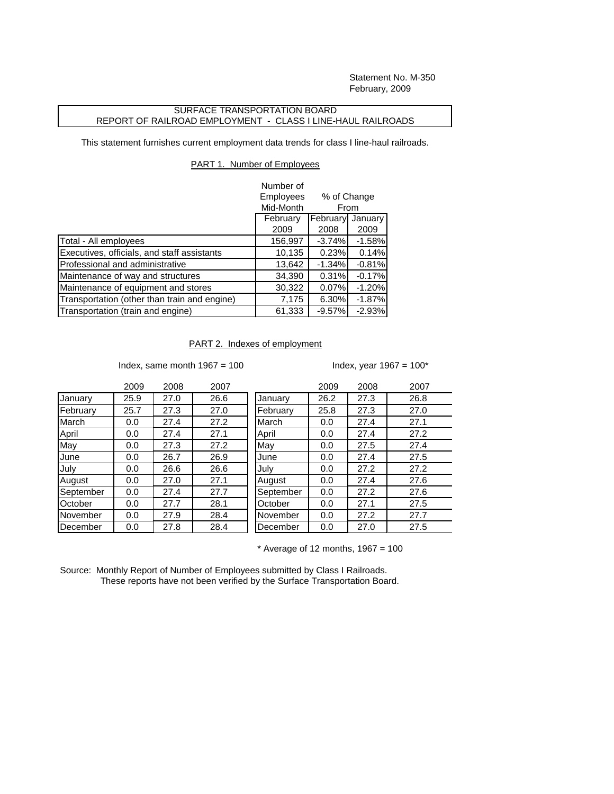Statement No. M-350 February, 2009

## SURFACE TRANSPORTATION BOARD REPORT OF RAILROAD EMPLOYMENT - CLASS I LINE-HAUL RAILROADS

This statement furnishes current employment data trends for class I line-haul railroads.

## PART 1. Number of Employees

|                                              | Number of                                                                               |          |          |
|----------------------------------------------|-----------------------------------------------------------------------------------------|----------|----------|
|                                              | <b>Employees</b><br>% of Change<br>Mid-Month<br>From<br>February<br>February<br>January |          |          |
|                                              |                                                                                         |          |          |
|                                              |                                                                                         |          |          |
|                                              | 2009                                                                                    | 2008     | 2009     |
| Total - All employees                        | 156,997                                                                                 | $-3.74%$ | $-1.58%$ |
| Executives, officials, and staff assistants  | 10,135                                                                                  | 0.23%    | 0.14%    |
| Professional and administrative              | 13,642                                                                                  | $-1.34%$ | $-0.81%$ |
| Maintenance of way and structures            | 34,390                                                                                  | 0.31%    | $-0.17%$ |
| Maintenance of equipment and stores          | 30,322                                                                                  | 0.07%    | $-1.20%$ |
| Transportation (other than train and engine) | 7,175                                                                                   | 6.30%    | $-1.87%$ |
| Transportation (train and engine)            | 61,333                                                                                  | $-9.57%$ | $-2.93%$ |

## PART 2. Indexes of employment

Index, same month  $1967 = 100$  Index, year  $1967 = 100^*$ 

|           | 2009 | 2008 | 2007 |           | 2009 | 2008 | 2007 |
|-----------|------|------|------|-----------|------|------|------|
| January   | 25.9 | 27.0 | 26.6 | January   | 26.2 | 27.3 | 26.8 |
| February  | 25.7 | 27.3 | 27.0 | February  | 25.8 | 27.3 | 27.0 |
| March     | 0.0  | 27.4 | 27.2 | March     | 0.0  | 27.4 | 27.1 |
| April     | 0.0  | 27.4 | 27.1 | April     | 0.0  | 27.4 | 27.2 |
| May       | 0.0  | 27.3 | 27.2 | May       | 0.0  | 27.5 | 27.4 |
| June      | 0.0  | 26.7 | 26.9 | June      | 0.0  | 27.4 | 27.5 |
| July      | 0.0  | 26.6 | 26.6 | July      | 0.0  | 27.2 | 27.2 |
| August    | 0.0  | 27.0 | 27.1 | August    | 0.0  | 27.4 | 27.6 |
| September | 0.0  | 27.4 | 27.7 | September | 0.0  | 27.2 | 27.6 |
| October   | 0.0  | 27.7 | 28.1 | October   | 0.0  | 27.1 | 27.5 |
| November  | 0.0  | 27.9 | 28.4 | November  | 0.0  | 27.2 | 27.7 |
| December  | 0.0  | 27.8 | 28.4 | December  | 0.0  | 27.0 | 27.5 |

| 2009 | 2008 | 2007 |           | 2009 | 2008 | 2007 |
|------|------|------|-----------|------|------|------|
| 25.9 | 27.0 | 26.6 | January   | 26.2 | 27.3 | 26.8 |
| 25.7 | 27.3 | 27.0 | February  | 25.8 | 27.3 | 27.0 |
| 0.0  | 27.4 | 27.2 | March     | 0.0  | 27.4 | 27.1 |
| 0.0  | 27.4 | 27.1 | April     | 0.0  | 27.4 | 27.2 |
| 0.0  | 27.3 | 27.2 | May       | 0.0  | 27.5 | 27.4 |
| 0.0  | 26.7 | 26.9 | June      | 0.0  | 27.4 | 27.5 |
| 0.0  | 26.6 | 26.6 | July      | 0.0  | 27.2 | 27.2 |
| 0.0  | 27.0 | 27.1 | August    | 0.0  | 27.4 | 27.6 |
| 0.0  | 27.4 | 27.7 | September | 0.0  | 27.2 | 27.6 |
| 0.0  | 27.7 | 28.1 | October   | 0.0  | 27.1 | 27.5 |
| 0.0  | 27.9 | 28.4 | November  | 0.0  | 27.2 | 27.7 |
| 0.0  | 27.8 | 28.4 | December  | 0.0  | 27.0 | 27.5 |

 $*$  Average of 12 months, 1967 = 100

Source: Monthly Report of Number of Employees submitted by Class I Railroads. These reports have not been verified by the Surface Transportation Board.